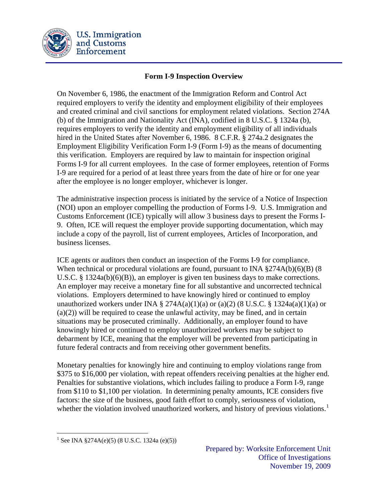

## **Form I-9 Inspection Overview**

On November 6, 1986, the enactment of the Immigration Reform and Control Act required employers to verify the identity and employment eligibility of their employees and created criminal and civil sanctions for employment related violations. Section 274A (b) of the Immigration and Nationality Act (INA), codified in 8 U.S.C. § 1324a (b), requires employers to verify the identity and employment eligibility of all individuals hired in the United States after November 6, 1986. 8 C.F.R. § 274a.2 designates the Employment Eligibility Verification Form I-9 (Form I-9) as the means of documenting this verification. Employers are required by law to maintain for inspection original Forms I-9 for all current employees. In the case of former employees, retention of Forms I-9 are required for a period of at least three years from the date of hire or for one year after the employee is no longer employer, whichever is longer.

The administrative inspection process is initiated by the service of a Notice of Inspection (NOI) upon an employer compelling the production of Forms I-9. U.S. Immigration and Customs Enforcement (ICE) typically will allow 3 business days to present the Forms I-9. Often, ICE will request the employer provide supporting documentation, which may include a copy of the payroll, list of current employees, Articles of Incorporation, and business licenses.

ICE agents or auditors then conduct an inspection of the Forms I-9 for compliance. When technical or procedural violations are found, pursuant to INA §274A(b)(6)(B) (8 U.S.C. § 1324a(b)(6)(B)), an employer is given ten business days to make corrections. An employer may receive a monetary fine for all substantive and uncorrected technical violations. Employers determined to have knowingly hired or continued to employ unauthorized workers under INA § 274A(a)(1)(a) or (a)(2) (8 U.S.C. § 1324a(a)(1)(a) or (a)(2)) will be required to cease the unlawful activity, may be fined, and in certain situations may be prosecuted criminally. Additionally, an employer found to have knowingly hired or continued to employ unauthorized workers may be subject to debarment by ICE, meaning that the employer will be prevented from participating in future federal contracts and from receiving other government benefits.

Monetary penalties for knowingly hire and continuing to employ violations range from \$375 to \$16,000 per violation, with repeat offenders receiving penalties at the higher end. Penalties for substantive violations, which includes failing to produce a Form I-9, range from \$110 to \$1,100 per violation. In determining penalty amounts, ICE considers five factors: the size of the business, good faith effort to comply, seriousness of violation, whether the violation involved unauthorized workers, and history of previous violations.<sup>[1](#page-0-0)</sup>

 $\overline{a}$ 

<span id="page-0-0"></span><sup>&</sup>lt;sup>1</sup> See INA  $\S 274A(e)(5)$  (8 U.S.C. 1324a (e)(5))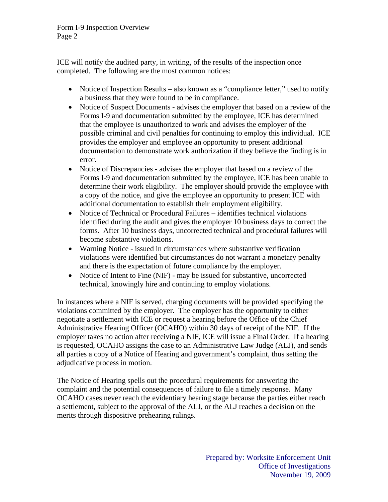Form I-9 Inspection Overview Page 2

ICE will notify the audited party, in writing, of the results of the inspection once completed. The following are the most common notices:

- Notice of Inspection Results also known as a "compliance letter," used to notify a business that they were found to be in compliance.
- Notice of Suspect Documents advises the employer that based on a review of the Forms I-9 and documentation submitted by the employee, ICE has determined that the employee is unauthorized to work and advises the employer of the possible criminal and civil penalties for continuing to employ this individual. ICE provides the employer and employee an opportunity to present additional documentation to demonstrate work authorization if they believe the finding is in error.
- Notice of Discrepancies advises the employer that based on a review of the Forms I-9 and documentation submitted by the employee, ICE has been unable to determine their work eligibility. The employer should provide the employee with a copy of the notice, and give the employee an opportunity to present ICE with additional documentation to establish their employment eligibility.
- Notice of Technical or Procedural Failures identifies technical violations identified during the audit and gives the employer 10 business days to correct the forms. After 10 business days, uncorrected technical and procedural failures will become substantive violations.
- Warning Notice issued in circumstances where substantive verification violations were identified but circumstances do not warrant a monetary penalty and there is the expectation of future compliance by the employer.
- Notice of Intent to Fine (NIF) may be issued for substantive, uncorrected technical, knowingly hire and continuing to employ violations.

In instances where a NIF is served, charging documents will be provided specifying the violations committed by the employer. The employer has the opportunity to either negotiate a settlement with ICE or request a hearing before the Office of the Chief Administrative Hearing Officer (OCAHO) within 30 days of receipt of the NIF. If the employer takes no action after receiving a NIF, ICE will issue a Final Order. If a hearing is requested, OCAHO assigns the case to an Administrative Law Judge (ALJ), and sends all parties a copy of a Notice of Hearing and government's complaint, thus setting the adjudicative process in motion.

The Notice of Hearing spells out the procedural requirements for answering the complaint and the potential consequences of failure to file a timely response. Many OCAHO cases never reach the evidentiary hearing stage because the parties either reach a settlement, subject to the approval of the ALJ, or the ALJ reaches a decision on the merits through dispositive prehearing rulings.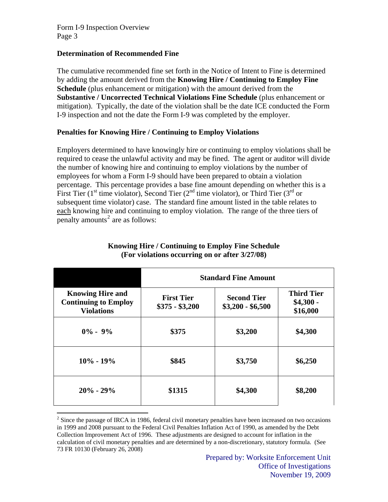Form I-9 Inspection Overview Page 3

#### **Determination of Recommended Fine**

The cumulative recommended fine set forth in the Notice of Intent to Fine is determined by adding the amount derived from the **Knowing Hire / Continuing to Employ Fine Schedule** (plus enhancement or mitigation) with the amount derived from the **Substantive / Uncorrected Technical Violations Fine Schedule** (plus enhancement or mitigation). Typically, the date of the violation shall be the date ICE conducted the Form I-9 inspection and not the date the Form I-9 was completed by the employer.

## **Penalties for Knowing Hire / Continuing to Employ Violations**

Employers determined to have knowingly hire or continuing to employ violations shall be required to cease the unlawful activity and may be fined. The agent or auditor will divide the number of knowing hire and continuing to employ violations by the number of employees for whom a Form I-9 should have been prepared to obtain a violation percentage. This percentage provides a base fine amount depending on whether this is a First Tier (1<sup>st</sup> time violator), Second Tier (2<sup>nd</sup> time violator), or Third Tier (3<sup>rd</sup> or subsequent time violator) case. The standard fine amount listed in the table relates to each knowing hire and continuing to employ violation. The range of the three tiers of  $\overline{\text{penalty}}$  amounts<sup>[2](#page-2-0)</sup> are as follows:

|                                                                             | <b>Standard Fine Amount</b>          |                                         |                                             |
|-----------------------------------------------------------------------------|--------------------------------------|-----------------------------------------|---------------------------------------------|
| <b>Knowing Hire and</b><br><b>Continuing to Employ</b><br><b>Violations</b> | <b>First Tier</b><br>$$375 - $3,200$ | <b>Second Tier</b><br>$$3,200 - $6,500$ | <b>Third Tier</b><br>$$4,300 -$<br>\$16,000 |
| $0\% - 9\%$                                                                 | \$375                                | \$3,200                                 | \$4,300                                     |
| $10\% - 19\%$                                                               | \$845                                | \$3,750                                 | \$6,250                                     |
| $20\% - 29\%$                                                               | \$1315                               | \$4,300                                 | \$8,200                                     |

#### **Knowing Hire / Continuing to Employ Fine Schedule (For violations occurring on or after 3/27/08)**

<span id="page-2-0"></span><sup>&</sup>lt;sup>2</sup> Since the passage of IRCA in 1986, federal civil monetary penalties have been increased on two occasions in 1999 and 2008 pursuant to the Federal Civil Penalties Inflation Act of 1990, as amended by the Debt Collection Improvement Act of 1996. These adjustments are designed to account for inflation in the calculation of civil monetary penalties and are determined by a non-discretionary, statutory formula. (See 73 FR 10130 (February 26, 2008)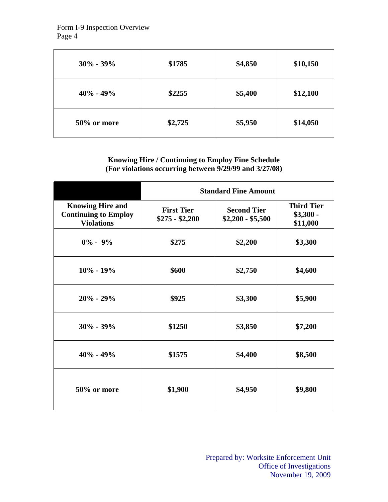Form I-9 Inspection Overview Page 4

| $30\% - 39\%$ | \$1785  | \$4,850 | \$10,150 |
|---------------|---------|---------|----------|
| $40\% - 49\%$ | \$2255  | \$5,400 | \$12,100 |
| 50% or more   | \$2,725 | \$5,950 | \$14,050 |

## **Knowing Hire / Continuing to Employ Fine Schedule (For violations occurring between 9/29/99 and 3/27/08)**

|                                                                             | <b>Standard Fine Amount</b>          |                                         |                                             |
|-----------------------------------------------------------------------------|--------------------------------------|-----------------------------------------|---------------------------------------------|
| <b>Knowing Hire and</b><br><b>Continuing to Employ</b><br><b>Violations</b> | <b>First Tier</b><br>$$275 - $2,200$ | <b>Second Tier</b><br>$$2,200 - $5,500$ | <b>Third Tier</b><br>$$3,300$ -<br>\$11,000 |
| $0\% - 9\%$                                                                 | \$275                                | \$2,200                                 | \$3,300                                     |
| $10\% - 19\%$                                                               | \$600                                | \$2,750                                 | \$4,600                                     |
| $20\% - 29\%$                                                               | \$925                                | \$3,300                                 | \$5,900                                     |
| $30\% - 39\%$                                                               | \$1250                               | \$3,850                                 | \$7,200                                     |
| $40\% - 49\%$                                                               | \$1575                               | \$4,400                                 | \$8,500                                     |
| 50% or more                                                                 | \$1,900                              | \$4,950                                 | \$9,800                                     |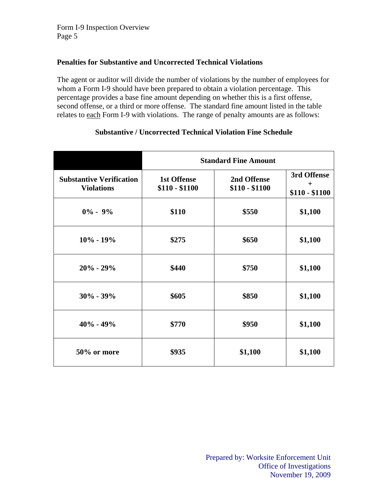## **Penalties for Substantive and Uncorrected Technical Violations**

The agent or auditor will divide the number of violations by the number of employees for whom a Form I-9 should have been prepared to obtain a violation percentage. This percentage provides a base fine amount depending on whether this is a first offense, second offense, or a third or more offense. The standard fine amount listed in the table relates to each Form I-9 with violations. The range of penalty amounts are as follows:

|                                                      | <b>Standard Fine Amount</b>          |                               |                                      |
|------------------------------------------------------|--------------------------------------|-------------------------------|--------------------------------------|
| <b>Substantive Verification</b><br><b>Violations</b> | <b>1st Offense</b><br>$$110 - $1100$ | 2nd Offense<br>$$110 - $1100$ | 3rd Offense<br>$+$<br>$$110 - $1100$ |
| $0\% - 9\%$                                          | \$110                                | \$550                         | \$1,100                              |
| $10\% - 19\%$                                        | \$275                                | \$650                         | \$1,100                              |
| $20% - 29%$                                          | \$440                                | \$750                         | \$1,100                              |
| $30\% - 39\%$                                        | \$605                                | \$850                         | \$1,100                              |
| $40\% - 49\%$                                        | \$770                                | \$950                         | \$1,100                              |
| 50% or more                                          | \$935                                | \$1,100                       | \$1,100                              |

# **Substantive / Uncorrected Technical Violation Fine Schedule**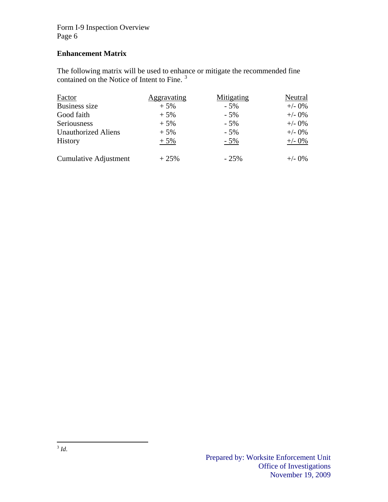Form I-9 Inspection Overview Page 6

# **Enhancement Matrix**

The following matrix will be used to enhance or mitigate the recommended fine contained on the Notice of Intent to Fine.<sup>[3](#page-5-0)</sup>

<span id="page-5-0"></span>

| Factor                     | Aggravating | Mitigating | Neutral   |
|----------------------------|-------------|------------|-----------|
| <b>Business size</b>       | $+5%$       | $-5%$      | $+/- 0\%$ |
| Good faith                 | $+5%$       | $-5%$      | $+/- 0\%$ |
| Seriousness                | $+5%$       | $-5%$      | $+/-$ 0%  |
| <b>Unauthorized Aliens</b> | $+5%$       | $-5%$      | $+/- 0\%$ |
| <b>History</b>             | $+5%$       | $-5%$      | $+/- 0\%$ |
| Cumulative Adjustment      | $+25%$      | $-25%$     | $+/- 0\%$ |